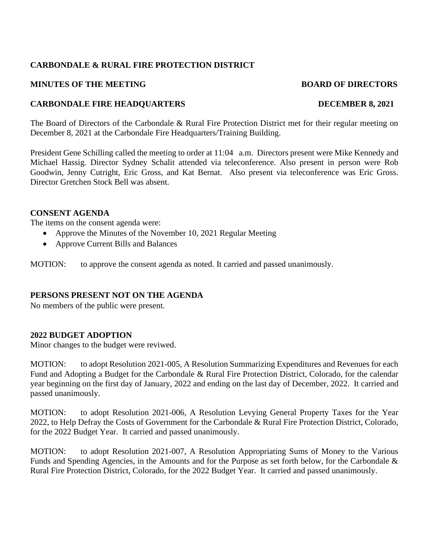# **CARBONDALE & RURAL FIRE PROTECTION DISTRICT**

## **MINUTES OF THE MEETING BOARD OF DIRECTORS**

# **CARBONDALE FIRE HEADQUARTERS DECEMBER 8, 2021**

The Board of Directors of the Carbondale & Rural Fire Protection District met for their regular meeting on December 8, 2021 at the Carbondale Fire Headquarters/Training Building.

President Gene Schilling called the meeting to order at 11:04 a.m. Directors present were Mike Kennedy and Michael Hassig. Director Sydney Schalit attended via teleconference. Also present in person were Rob Goodwin, Jenny Cutright, Eric Gross, and Kat Bernat. Also present via teleconference was Eric Gross. Director Gretchen Stock Bell was absent.

### **CONSENT AGENDA**

The items on the consent agenda were:

- Approve the Minutes of the November 10, 2021 Regular Meeting
- Approve Current Bills and Balances

MOTION: to approve the consent agenda as noted. It carried and passed unanimously.

### **PERSONS PRESENT NOT ON THE AGENDA**

No members of the public were present.

# **2022 BUDGET ADOPTION**

Minor changes to the budget were reviwed.

MOTION: to adopt Resolution 2021-005, A Resolution Summarizing Expenditures and Revenues for each Fund and Adopting a Budget for the Carbondale & Rural Fire Protection District, Colorado, for the calendar year beginning on the first day of January, 2022 and ending on the last day of December, 2022. It carried and passed unanimously.

MOTION: to adopt Resolution 2021-006, A Resolution Levying General Property Taxes for the Year 2022, to Help Defray the Costs of Government for the Carbondale & Rural Fire Protection District, Colorado, for the 2022 Budget Year. It carried and passed unanimously.

MOTION: to adopt Resolution 2021-007, A Resolution Appropriating Sums of Money to the Various Funds and Spending Agencies, in the Amounts and for the Purpose as set forth below, for the Carbondale & Rural Fire Protection District, Colorado, for the 2022 Budget Year. It carried and passed unanimously.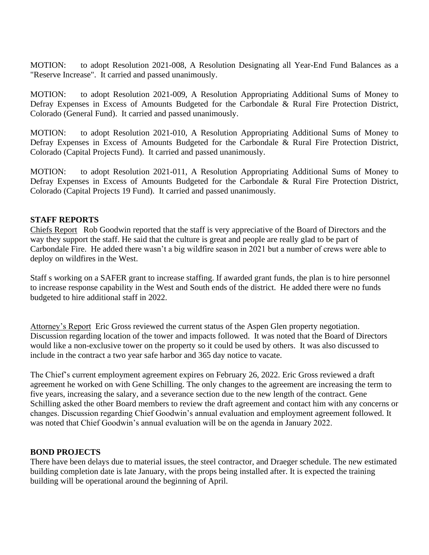MOTION: to adopt Resolution 2021-008, A Resolution Designating all Year-End Fund Balances as a "Reserve Increase". It carried and passed unanimously.

MOTION: to adopt Resolution 2021-009, A Resolution Appropriating Additional Sums of Money to Defray Expenses in Excess of Amounts Budgeted for the Carbondale & Rural Fire Protection District, Colorado (General Fund). It carried and passed unanimously.

MOTION: to adopt Resolution 2021-010, A Resolution Appropriating Additional Sums of Money to Defray Expenses in Excess of Amounts Budgeted for the Carbondale & Rural Fire Protection District, Colorado (Capital Projects Fund). It carried and passed unanimously.

MOTION: to adopt Resolution 2021-011, A Resolution Appropriating Additional Sums of Money to Defray Expenses in Excess of Amounts Budgeted for the Carbondale & Rural Fire Protection District, Colorado (Capital Projects 19 Fund). It carried and passed unanimously.

## **STAFF REPORTS**

Chiefs Report Rob Goodwin reported that the staff is very appreciative of the Board of Directors and the way they support the staff. He said that the culture is great and people are really glad to be part of Carbondale Fire. He added there wasn't a big wildfire season in 2021 but a number of crews were able to deploy on wildfires in the West.

Staff s working on a SAFER grant to increase staffing. If awarded grant funds, the plan is to hire personnel to increase response capability in the West and South ends of the district. He added there were no funds budgeted to hire additional staff in 2022.

Attorney's Report Eric Gross reviewed the current status of the Aspen Glen property negotiation. Discussion regarding location of the tower and impacts followed. It was noted that the Board of Directors would like a non-exclusive tower on the property so it could be used by others. It was also discussed to include in the contract a two year safe harbor and 365 day notice to vacate.

The Chief's current employment agreement expires on February 26, 2022. Eric Gross reviewed a draft agreement he worked on with Gene Schilling. The only changes to the agreement are increasing the term to five years, increasing the salary, and a severance section due to the new length of the contract. Gene Schilling asked the other Board members to review the draft agreement and contact him with any concerns or changes. Discussion regarding Chief Goodwin's annual evaluation and employment agreement followed. It was noted that Chief Goodwin's annual evaluation will be on the agenda in January 2022.

### **BOND PROJECTS**

There have been delays due to material issues, the steel contractor, and Draeger schedule. The new estimated building completion date is late January, with the props being installed after. It is expected the training building will be operational around the beginning of April.